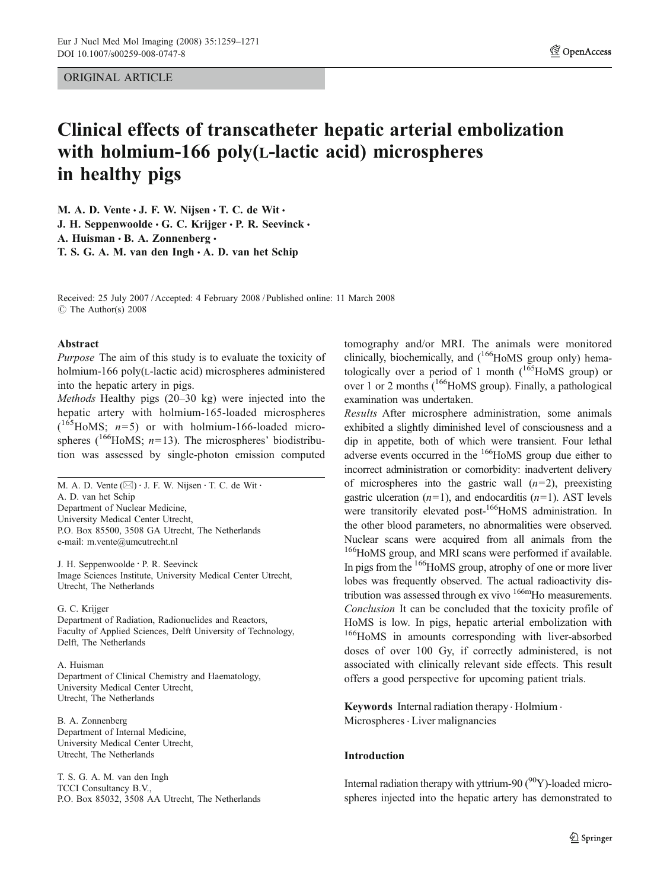ORIGINAL ARTICLE

# Clinical effects of transcatheter hepatic arterial embolization with holmium-166 poly(L-lactic acid) microspheres in healthy pigs

M. A. D. Vente  $\cdot$  J. F. W. Nijsen  $\cdot$  T. C. de Wit  $\cdot$ J. H. Seppenwoolde  $\cdot$  G. C. Krijger  $\cdot$  P. R. Seevinck  $\cdot$ A. Huisman · B. A. Zonnenberg · T. S. G. A. M. van den  $Ingh \cdot A$ . D. van het Schip

Received: 25 July 2007 /Accepted: 4 February 2008 / Published online: 11 March 2008 *#* The Author(s) 2008

#### Abstract

Purpose The aim of this study is to evaluate the toxicity of holmium-166 poly(L-lactic acid) microspheres administered into the hepatic artery in pigs.

Methods Healthy pigs (20–30 kg) were injected into the hepatic artery with holmium-165-loaded microspheres  $(165HoMS; n=5)$  or with holmium-166-loaded microspheres ( $^{166}$ HoMS;  $n=13$ ). The microspheres' biodistribution was assessed by single-photon emission computed

M. A. D. Vente (⊠) · J. F. W. Nijsen · T. C. de Wit · A. D. van het Schip Department of Nuclear Medicine, University Medical Center Utrecht, P.O. Box 85500, 3508 GA Utrecht, The Netherlands e-mail: m.vente@umcutrecht.nl

J. H. Seppenwoolde : P. R. Seevinck Image Sciences Institute, University Medical Center Utrecht, Utrecht, The Netherlands

#### G. C. Krijger

Department of Radiation, Radionuclides and Reactors, Faculty of Applied Sciences, Delft University of Technology, Delft, The Netherlands

#### A. Huisman

Department of Clinical Chemistry and Haematology, University Medical Center Utrecht, Utrecht, The Netherlands

B. A. Zonnenberg Department of Internal Medicine, University Medical Center Utrecht, Utrecht, The Netherlands

T. S. G. A. M. van den Ingh TCCI Consultancy B.V., P.O. Box 85032, 3508 AA Utrecht, The Netherlands tomography and/or MRI. The animals were monitored clinically, biochemically, and  $(166)$ HoMS group only) hematologically over a period of 1 month  $(165)$ HoMS group) or over 1 or 2 months  $(166)$ HoMS group). Finally, a pathological examination was undertaken.

Results After microsphere administration, some animals exhibited a slightly diminished level of consciousness and a dip in appetite, both of which were transient. Four lethal adverse events occurred in the <sup>166</sup>HoMS group due either to incorrect administration or comorbidity: inadvertent delivery of microspheres into the gastric wall  $(n=2)$ , preexisting gastric ulceration  $(n=1)$ , and endocarditis  $(n=1)$ . AST levels were transitorily elevated post-<sup>166</sup>HoMS administration. In the other blood parameters, no abnormalities were observed. Nuclear scans were acquired from all animals from the <sup>166</sup>HoMS group, and MRI scans were performed if available. In pigs from the <sup>166</sup>HoMS group, atrophy of one or more liver lobes was frequently observed. The actual radioactivity distribution was assessed through ex vivo <sup>166m</sup>Ho measurements. Conclusion It can be concluded that the toxicity profile of HoMS is low. In pigs, hepatic arterial embolization with <sup>166</sup>HoMS in amounts corresponding with liver-absorbed doses of over 100 Gy, if correctly administered, is not associated with clinically relevant side effects. This result offers a good perspective for upcoming patient trials.

Keywords Internal radiation therapy. Holmium . Microspheres · Liver malignancies

## Introduction

Internal radiation therapy with yttrium-90  $(^{90}Y)$ -loaded microspheres injected into the hepatic artery has demonstrated to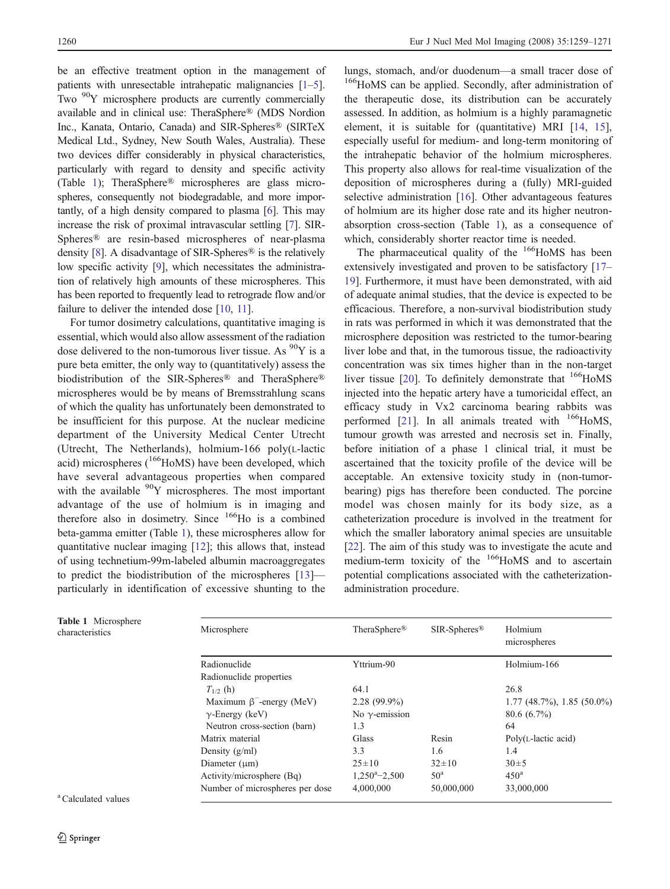be an effective treatment option in the management of patients with unresectable intrahepatic malignancies [\[1](#page-11-0)–[5\]](#page-11-0). Two  $90Y$  microsphere products are currently commercially available and in clinical use: TheraSphere® (MDS Nordion Inc., Kanata, Ontario, Canada) and SIR-Spheres® (SIRTeX Medical Ltd., Sydney, New South Wales, Australia). These two devices differ considerably in physical characteristics, particularly with regard to density and specific activity (Table 1); TheraSphere® microspheres are glass microspheres, consequently not biodegradable, and more importantly, of a high density compared to plasma [\[6](#page-11-0)]. This may increase the risk of proximal intravascular settling [[7\]](#page-11-0). SIR-Spheres® are resin-based microspheres of near-plasma density [[8\]](#page-11-0). A disadvantage of SIR-Spheres® is the relatively low specific activity [[9\]](#page-11-0), which necessitates the administration of relatively high amounts of these microspheres. This has been reported to frequently lead to retrograde flow and/or failure to deliver the intended dose [\[10,](#page-11-0) [11\]](#page-11-0).

For tumor dosimetry calculations, quantitative imaging is essential, which would also allow assessment of the radiation dose delivered to the non-tumorous liver tissue. As  $^{90}Y$  is a pure beta emitter, the only way to (quantitatively) assess the biodistribution of the SIR-Spheres® and TheraSphere® microspheres would be by means of Bremsstrahlung scans of which the quality has unfortunately been demonstrated to be insufficient for this purpose. At the nuclear medicine department of the University Medical Center Utrecht (Utrecht, The Netherlands), holmium-166 poly(L-lactic acid) microspheres  $(^{166}$ HoMS) have been developed, which have several advantageous properties when compared with the available  $90Y$  microspheres. The most important advantage of the use of holmium is in imaging and therefore also in dosimetry. Since <sup>166</sup>Ho is a combined beta-gamma emitter (Table 1), these microspheres allow for quantitative nuclear imaging [\[12](#page-11-0)]; this allows that, instead of using technetium-99m-labeled albumin macroaggregates to predict the biodistribution of the microspheres [[13\]](#page-11-0) particularly in identification of excessive shunting to the

lungs, stomach, and/or duodenum—a small tracer dose of <sup>166</sup>HoMS can be applied. Secondly, after administration of the therapeutic dose, its distribution can be accurately assessed. In addition, as holmium is a highly paramagnetic element, it is suitable for (quantitative) MRI [\[14](#page-11-0), [15\]](#page-11-0), especially useful for medium- and long-term monitoring of the intrahepatic behavior of the holmium microspheres. This property also allows for real-time visualization of the deposition of microspheres during a (fully) MRI-guided selective administration [[16\]](#page-11-0). Other advantageous features of holmium are its higher dose rate and its higher neutronabsorption cross-section (Table 1), as a consequence of which, considerably shorter reactor time is needed.

The pharmaceutical quality of the  $166$ HoMS has been extensively investigated and proven to be satisfactory [\[17](#page-11-0)– [19](#page-11-0)]. Furthermore, it must have been demonstrated, with aid of adequate animal studies, that the device is expected to be efficacious. Therefore, a non-survival biodistribution study in rats was performed in which it was demonstrated that the microsphere deposition was restricted to the tumor-bearing liver lobe and that, in the tumorous tissue, the radioactivity concentration was six times higher than in the non-target liver tissue [\[20](#page-11-0)]. To definitely demonstrate that  $166$ HoMS injected into the hepatic artery have a tumoricidal effect, an efficacy study in Vx2 carcinoma bearing rabbits was performed  $[21]$  $[21]$ . In all animals treated with  $166$ HoMS, tumour growth was arrested and necrosis set in. Finally, before initiation of a phase 1 clinical trial, it must be ascertained that the toxicity profile of the device will be acceptable. An extensive toxicity study in (non-tumorbearing) pigs has therefore been conducted. The porcine model was chosen mainly for its body size, as a catheterization procedure is involved in the treatment for which the smaller laboratory animal species are unsuitable [\[22](#page-11-0)]. The aim of this study was to investigate the acute and medium-term toxicity of the <sup>166</sup>HoMS and to ascertain potential complications associated with the catheterizationadministration procedure.

| Microsphere                     | TheraSphere <sup>®</sup> | $SIR-Spheres$ <sup>®</sup> | Holmium<br>microspheres      |
|---------------------------------|--------------------------|----------------------------|------------------------------|
| Radionuclide                    | Yttrium-90               |                            | Holmium-166                  |
| Radionuclide properties         |                          |                            |                              |
| $T_{1/2}$ (h)                   | 64.1                     |                            | 26.8                         |
| Maximum $\beta^-$ -energy (MeV) | $2.28(99.9\%)$           |                            | $1.77$ (48.7%), 1.85 (50.0%) |
| $\gamma$ -Energy (keV)          | No $\gamma$ -emission    |                            | $80.6(6.7\%)$                |
| Neutron cross-section (barn)    | 1.3                      |                            | 64                           |
| Matrix material                 | Glass                    | Resin                      | $Poly(L-lactic acid)$        |
| Density $(g/ml)$                | 3.3                      | 1.6                        | 1.4                          |
| Diameter $(\mu m)$              | $25 \pm 10$              | $32 \pm 10$                | $30 \pm 5$                   |
| Activity/microsphere (Bq)       | $1,250^{\circ}-2,500$    | 50 <sup>a</sup>            | 450 <sup>a</sup>             |
| Number of microspheres per dose | 4,000,000                | 50,000,000                 | 33,000,000                   |

Table 1 Microsphere characteristics

<sup>a</sup> Calculated values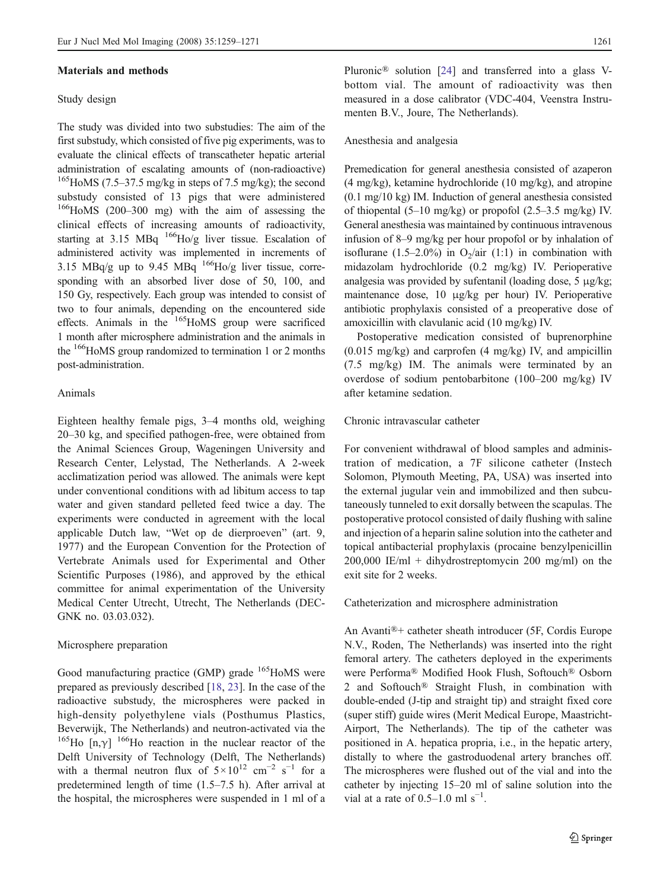#### Materials and methods

#### Study design

The study was divided into two substudies: The aim of the first substudy, which consisted of five pig experiments, was to evaluate the clinical effects of transcatheter hepatic arterial administration of escalating amounts of (non-radioactive)  $165$ HoMS (7.5–37.5 mg/kg in steps of 7.5 mg/kg); the second substudy consisted of 13 pigs that were administered  $166$ HoMS (200–300 mg) with the aim of assessing the clinical effects of increasing amounts of radioactivity, starting at  $3.15$  MBq  $^{166}$ Ho/g liver tissue. Escalation of administered activity was implemented in increments of 3.15 MBq/g up to 9.45 MBq  $^{166}$ Ho/g liver tissue, corresponding with an absorbed liver dose of 50, 100, and 150 Gy, respectively. Each group was intended to consist of two to four animals, depending on the encountered side effects. Animals in the <sup>165</sup>HoMS group were sacrificed 1 month after microsphere administration and the animals in the  $166$ HoMS group randomized to termination 1 or 2 months post-administration.

## Animals

Eighteen healthy female pigs, 3–4 months old, weighing 20–30 kg, and specified pathogen-free, were obtained from the Animal Sciences Group, Wageningen University and Research Center, Lelystad, The Netherlands. A 2-week acclimatization period was allowed. The animals were kept under conventional conditions with ad libitum access to tap water and given standard pelleted feed twice a day. The experiments were conducted in agreement with the local applicable Dutch law, "Wet op de dierproeven" (art. 9, 1977) and the European Convention for the Protection of Vertebrate Animals used for Experimental and Other Scientific Purposes (1986), and approved by the ethical committee for animal experimentation of the University Medical Center Utrecht, Utrecht, The Netherlands (DEC-GNK no. 03.03.032).

#### Microsphere preparation

Good manufacturing practice (GMP) grade <sup>165</sup>HoMS were prepared as previously described [\[18](#page-11-0), [23](#page-11-0)]. In the case of the radioactive substudy, the microspheres were packed in high-density polyethylene vials (Posthumus Plastics, Beverwijk, The Netherlands) and neutron-activated via the <sup>165</sup>Ho  $[n, \gamma]$ <sup>166</sup>Ho reaction in the nuclear reactor of the Delft University of Technology (Delft, The Netherlands) with a thermal neutron flux of  $5 \times 10^{12}$  cm<sup>-2</sup> s<sup>-1</sup> for a predetermined length of time (1.5–7.5 h). After arrival at the hospital, the microspheres were suspended in 1 ml of a

Pluronic® solution [\[24](#page-12-0)] and transferred into a glass Vbottom vial. The amount of radioactivity was then measured in a dose calibrator (VDC-404, Veenstra Instrumenten B.V., Joure, The Netherlands).

#### Anesthesia and analgesia

Premedication for general anesthesia consisted of azaperon (4 mg/kg), ketamine hydrochloride (10 mg/kg), and atropine (0.1 mg/10 kg) IM. Induction of general anesthesia consisted of thiopental  $(5-10 \text{ mg/kg})$  or propofol  $(2.5-3.5 \text{ mg/kg})$  IV. General anesthesia was maintained by continuous intravenous infusion of 8–9 mg/kg per hour propofol or by inhalation of isoflurane (1.5–2.0%) in  $O_2/air$  (1:1) in combination with midazolam hydrochloride (0.2 mg/kg) IV. Perioperative analgesia was provided by sufentanil (loading dose, 5 μg/kg; maintenance dose, 10 μg/kg per hour) IV. Perioperative antibiotic prophylaxis consisted of a preoperative dose of amoxicillin with clavulanic acid (10 mg/kg) IV.

Postoperative medication consisted of buprenorphine (0.015 mg/kg) and carprofen (4 mg/kg) IV, and ampicillin (7.5 mg/kg) IM. The animals were terminated by an overdose of sodium pentobarbitone (100–200 mg/kg) IV after ketamine sedation.

## Chronic intravascular catheter

For convenient withdrawal of blood samples and administration of medication, a 7F silicone catheter (Instech Solomon, Plymouth Meeting, PA, USA) was inserted into the external jugular vein and immobilized and then subcutaneously tunneled to exit dorsally between the scapulas. The postoperative protocol consisted of daily flushing with saline and injection of a heparin saline solution into the catheter and topical antibacterial prophylaxis (procaine benzylpenicillin 200,000 IE/ml + dihydrostreptomycin 200 mg/ml) on the exit site for 2 weeks.

#### Catheterization and microsphere administration

An Avanti®+ catheter sheath introducer (5F, Cordis Europe N.V., Roden, The Netherlands) was inserted into the right femoral artery. The catheters deployed in the experiments were Performa® Modified Hook Flush, Softouch® Osborn 2 and Softouch® Straight Flush, in combination with double-ended (J-tip and straight tip) and straight fixed core (super stiff) guide wires (Merit Medical Europe, Maastricht-Airport, The Netherlands). The tip of the catheter was positioned in A. hepatica propria, i.e., in the hepatic artery, distally to where the gastroduodenal artery branches off. The microspheres were flushed out of the vial and into the catheter by injecting 15–20 ml of saline solution into the vial at a rate of  $0.5-1.0$  ml s<sup>-1</sup>.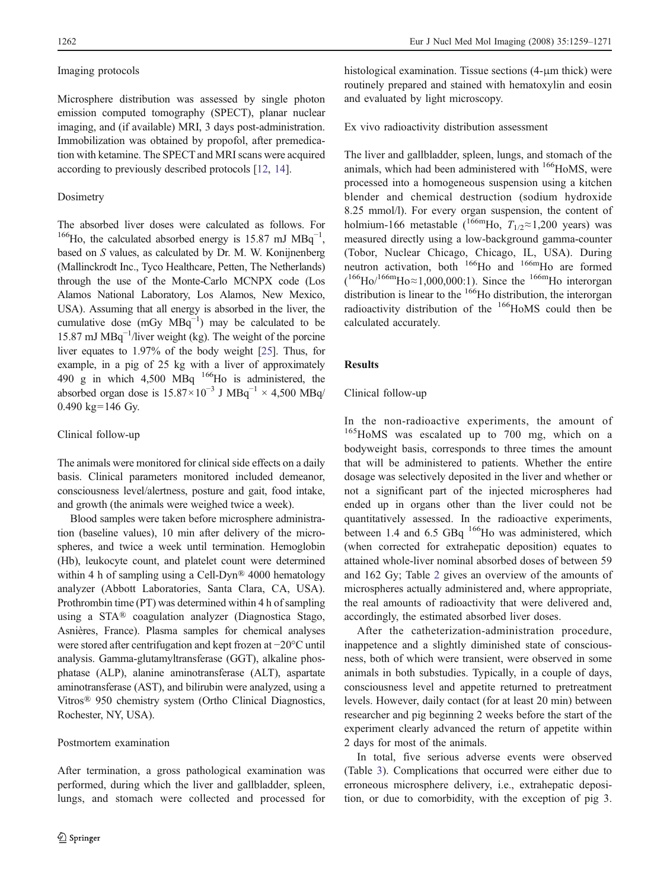## Imaging protocols

Microsphere distribution was assessed by single photon emission computed tomography (SPECT), planar nuclear imaging, and (if available) MRI, 3 days post-administration. Immobilization was obtained by propofol, after premedication with ketamine. The SPECT and MRI scans were acquired according to previously described protocols [\[12](#page-11-0), [14\]](#page-11-0).

#### Dosimetry

The absorbed liver doses were calculated as follows. For <sup>166</sup>Ho, the calculated absorbed energy is 15.87 mJ MBq<sup>-1</sup>, based on S values, as calculated by Dr. M. W. Konijnenberg (Mallinckrodt Inc., Tyco Healthcare, Petten, The Netherlands) through the use of the Monte-Carlo MCNPX code (Los Alamos National Laboratory, Los Alamos, New Mexico, USA). Assuming that all energy is absorbed in the liver, the cumulative dose  $(mGy MBq^{-1})$  may be calculated to be 15.87 mJ MBq−<sup>1</sup> /liver weight (kg). The weight of the porcine liver equates to 1.97% of the body weight [\[25](#page-12-0)]. Thus, for example, in a pig of 25 kg with a liver of approximately 490 g in which 4,500 MBq 166Ho is administered, the absorbed organ dose is  $15.87 \times 10^{-3}$  J MBq<sup>-1</sup> × 4,500 MBq/  $0.490 \text{ kg} = 146 \text{ Gy}$ .

## Clinical follow-up

The animals were monitored for clinical side effects on a daily basis. Clinical parameters monitored included demeanor, consciousness level/alertness, posture and gait, food intake, and growth (the animals were weighed twice a week).

Blood samples were taken before microsphere administration (baseline values), 10 min after delivery of the microspheres, and twice a week until termination. Hemoglobin (Hb), leukocyte count, and platelet count were determined within 4 h of sampling using a Cell-Dyn® 4000 hematology analyzer (Abbott Laboratories, Santa Clara, CA, USA). Prothrombin time (PT) was determined within 4 h of sampling using a STA® coagulation analyzer (Diagnostica Stago, Asnières, France). Plasma samples for chemical analyses were stored after centrifugation and kept frozen at −20°C until analysis. Gamma-glutamyltransferase (GGT), alkaline phosphatase (ALP), alanine aminotransferase (ALT), aspartate aminotransferase (AST), and bilirubin were analyzed, using a Vitros® 950 chemistry system (Ortho Clinical Diagnostics, Rochester, NY, USA).

#### Postmortem examination

After termination, a gross pathological examination was performed, during which the liver and gallbladder, spleen, lungs, and stomach were collected and processed for histological examination. Tissue sections (4-μm thick) were routinely prepared and stained with hematoxylin and eosin and evaluated by light microscopy.

## Ex vivo radioactivity distribution assessment

The liver and gallbladder, spleen, lungs, and stomach of the animals, which had been administered with  $166$ HoMS, were processed into a homogeneous suspension using a kitchen blender and chemical destruction (sodium hydroxide 8.25 mmol/l). For every organ suspension, the content of holmium-166 metastable (<sup>166m</sup>Ho,  $T_{1/2} \approx 1,200$  years) was measured directly using a low-background gamma-counter (Tobor, Nuclear Chicago, Chicago, IL, USA). During neutron activation, both <sup>166</sup>Ho and <sup>166m</sup>Ho are formed  $(166Ho^{166m}Ho \approx 1,000,000:1)$ . Since the  $166mHo$  interorgan distribution is linear to the <sup>166</sup>Ho distribution, the interorgan radioactivity distribution of the <sup>166</sup>HoMS could then be calculated accurately.

## **Results**

## Clinical follow-up

In the non-radioactive experiments, the amount of <sup>165</sup>HoMS was escalated up to 700 mg, which on a bodyweight basis, corresponds to three times the amount that will be administered to patients. Whether the entire dosage was selectively deposited in the liver and whether or not a significant part of the injected microspheres had ended up in organs other than the liver could not be quantitatively assessed. In the radioactive experiments, between 1.4 and 6.5 GBq  $^{166}$ Ho was administered, which (when corrected for extrahepatic deposition) equates to attained whole-liver nominal absorbed doses of between 59 and 162 Gy; Table [2](#page-4-0) gives an overview of the amounts of microspheres actually administered and, where appropriate, the real amounts of radioactivity that were delivered and, accordingly, the estimated absorbed liver doses.

After the catheterization-administration procedure, inappetence and a slightly diminished state of consciousness, both of which were transient, were observed in some animals in both substudies. Typically, in a couple of days, consciousness level and appetite returned to pretreatment levels. However, daily contact (for at least 20 min) between researcher and pig beginning 2 weeks before the start of the experiment clearly advanced the return of appetite within 2 days for most of the animals.

In total, five serious adverse events were observed (Table [3](#page-4-0)). Complications that occurred were either due to erroneous microsphere delivery, i.e., extrahepatic deposition, or due to comorbidity, with the exception of pig 3.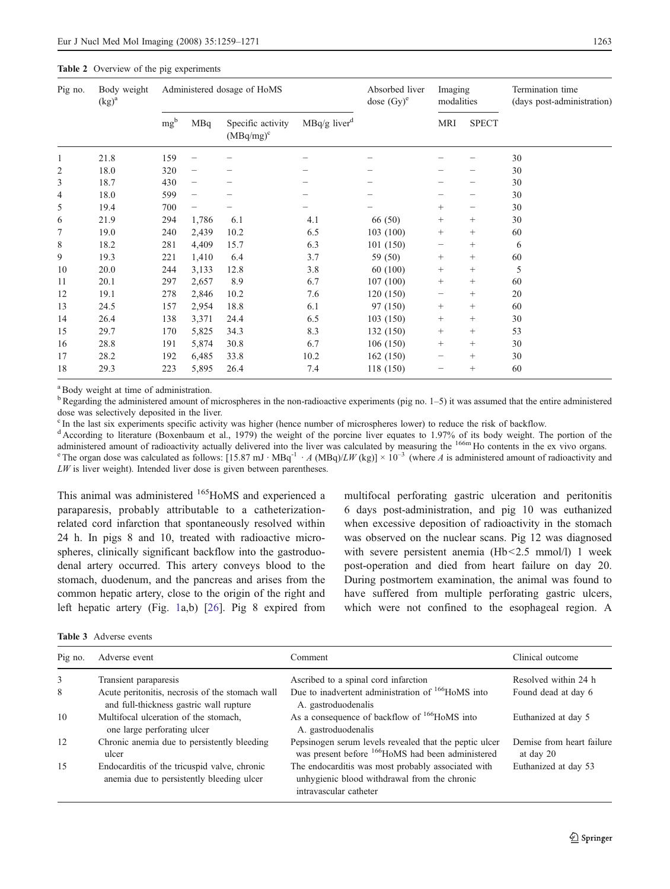#### <span id="page-4-0"></span>Table 2 Overview of the pig experiments

| Pig no. | Body weight<br>$(kg)^a$ | Administered dosage of HoMS |                          |                                   |                            | Absorbed liver<br>dose $(Gy)^e$ | Imaging<br>modalities    |              | Termination time<br>(days post-administration) |  |
|---------|-------------------------|-----------------------------|--------------------------|-----------------------------------|----------------------------|---------------------------------|--------------------------|--------------|------------------------------------------------|--|
|         |                         | mg <sup>b</sup>             | MBq                      | Specific activity<br>$(MBq/mg)^c$ | $MBq/g$ liver <sup>d</sup> |                                 | <b>MRI</b>               | <b>SPECT</b> |                                                |  |
| 1       | 21.8                    | 159                         |                          |                                   |                            |                                 |                          |              | 30                                             |  |
| 2       | 18.0                    | 320                         |                          |                                   |                            |                                 |                          |              | 30                                             |  |
| 3       | 18.7                    | 430                         |                          |                                   |                            |                                 |                          |              | 30                                             |  |
| 4       | 18.0                    | 599                         | $\overline{\phantom{0}}$ |                                   |                            |                                 |                          |              | 30                                             |  |
| 5       | 19.4                    | 700                         | —                        |                                   |                            |                                 | $^{+}$                   | —            | 30                                             |  |
| 6       | 21.9                    | 294                         | 1,786                    | 6.1                               | 4.1                        | 66 (50)                         | $^{+}$                   | $^{+}$       | 30                                             |  |
| 7       | 19.0                    | 240                         | 2,439                    | 10.2                              | 6.5                        | 103(100)                        | $^{+}$                   | $^{+}$       | 60                                             |  |
| 8       | 18.2                    | 281                         | 4,409                    | 15.7                              | 6.3                        | 101 (150)                       | $\qquad \qquad$          | $^{+}$       | 6                                              |  |
| 9       | 19.3                    | 221                         | 1,410                    | 6.4                               | 3.7                        | 59 (50)                         | $^{+}$                   | $^{+}$       | 60                                             |  |
| 10      | 20.0                    | 244                         | 3,133                    | 12.8                              | 3.8                        | 60 (100)                        | $+$                      | $^{+}$       | 5                                              |  |
| 11      | 20.1                    | 297                         | 2,657                    | 8.9                               | 6.7                        | 107(100)                        | $^{+}$                   | $^{+}$       | 60                                             |  |
| 12      | 19.1                    | 278                         | 2,846                    | 10.2                              | 7.6                        | 120(150)                        | $\overline{\phantom{0}}$ | $^{+}$       | 20                                             |  |
| 13      | 24.5                    | 157                         | 2,954                    | 18.8                              | 6.1                        | 97 (150)                        | $^{+}$                   | $^{+}$       | 60                                             |  |
| 14      | 26.4                    | 138                         | 3,371                    | 24.4                              | 6.5                        | 103(150)                        | $^{+}$                   | $^{+}$       | 30                                             |  |
| 15      | 29.7                    | 170                         | 5,825                    | 34.3                              | 8.3                        | 132(150)                        | $^{+}$                   | $^{+}$       | 53                                             |  |
| 16      | 28.8                    | 191                         | 5,874                    | 30.8                              | 6.7                        | 106 (150)                       | $^{+}$                   | $^{+}$       | 30                                             |  |
| 17      | 28.2                    | 192                         | 6,485                    | 33.8                              | 10.2                       | 162(150)                        |                          | $^{+}$       | 30                                             |  |
| 18      | 29.3                    | 223                         | 5,895                    | 26.4                              | 7.4                        | 118 (150)                       |                          | $^{+}$       | 60                                             |  |

<sup>a</sup>Body weight at time of administration.

 $<sup>b</sup>$  Regarding the administered amount of microspheres in the non-radioactive experiments (pig no. 1–5) it was assumed that the entire administered</sup> dose was selectively deposited in the liver.

<sup>c</sup> In the last six experiments specific activity was higher (hence number of microspheres lower) to reduce the risk of backflow.

<sup>d</sup> According to literature (Boxenbaum et al., 1979) the weight of the porcine liver equates to 1.97% of its body weight. The portion of the administered amount of radioactivity actually delivered into the liver was calculated by measuring the <sup>166m</sup> Ho contents in the ex vivo organs. <sup>e</sup> The organ dose was calculated as follows: [15.87 mJ ⋅ MBq<sup>-1</sup> ⋅ A (MBq)/LW (kg)] × 10<sup>-3</sup> (where A is administered amount of radioactivity and  $LW$  is liver weight). Intended liver dose is given between parentheses.

This animal was administered <sup>165</sup>HoMS and experienced a paraparesis, probably attributable to a catheterizationrelated cord infarction that spontaneously resolved within 24 h. In pigs 8 and 10, treated with radioactive microspheres, clinically significant backflow into the gastroduodenal artery occurred. This artery conveys blood to the stomach, duodenum, and the pancreas and arises from the common hepatic artery, close to the origin of the right and left hepatic artery (Fig. [1](#page-5-0)a,b) [[26\]](#page-12-0). Pig 8 expired from

multifocal perforating gastric ulceration and peritonitis 6 days post-administration, and pig 10 was euthanized when excessive deposition of radioactivity in the stomach was observed on the nuclear scans. Pig 12 was diagnosed with severe persistent anemia (Hb<2.5 mmol/l) 1 week post-operation and died from heart failure on day 20. During postmortem examination, the animal was found to have suffered from multiple perforating gastric ulcers, which were not confined to the esophageal region. A

| <b>Table 3</b> Adverse events |  |
|-------------------------------|--|
|-------------------------------|--|

| Pig no. | Adverse event                                                                              | Comment                                                                                                                      | Clinical outcome                       |
|---------|--------------------------------------------------------------------------------------------|------------------------------------------------------------------------------------------------------------------------------|----------------------------------------|
| 3       | Transient paraparesis                                                                      | Ascribed to a spinal cord infarction                                                                                         | Resolved within 24 h                   |
| 8       | Acute peritonitis, necrosis of the stomach wall<br>and full-thickness gastric wall rupture | Due to inadvertent administration of <sup>166</sup> HoMS into<br>A. gastroduodenalis                                         | Found dead at day 6                    |
| 10      | Multifocal ulceration of the stomach,<br>one large perforating ulcer                       | As a consequence of backflow of <sup>166</sup> HoMS into<br>A. gastroduodenalis                                              | Euthanized at day 5                    |
| 12      | Chronic anemia due to persistently bleeding<br>ulcer                                       | Pepsinogen serum levels revealed that the peptic ulcer<br>was present before <sup>166</sup> HoMS had been administered       | Demise from heart failure<br>at day 20 |
| 15      | Endocarditis of the tricuspid valve, chronic<br>anemia due to persistently bleeding ulcer  | The endocarditis was most probably associated with<br>unhygienic blood withdrawal from the chronic<br>intravascular catheter | Euthanized at day 53                   |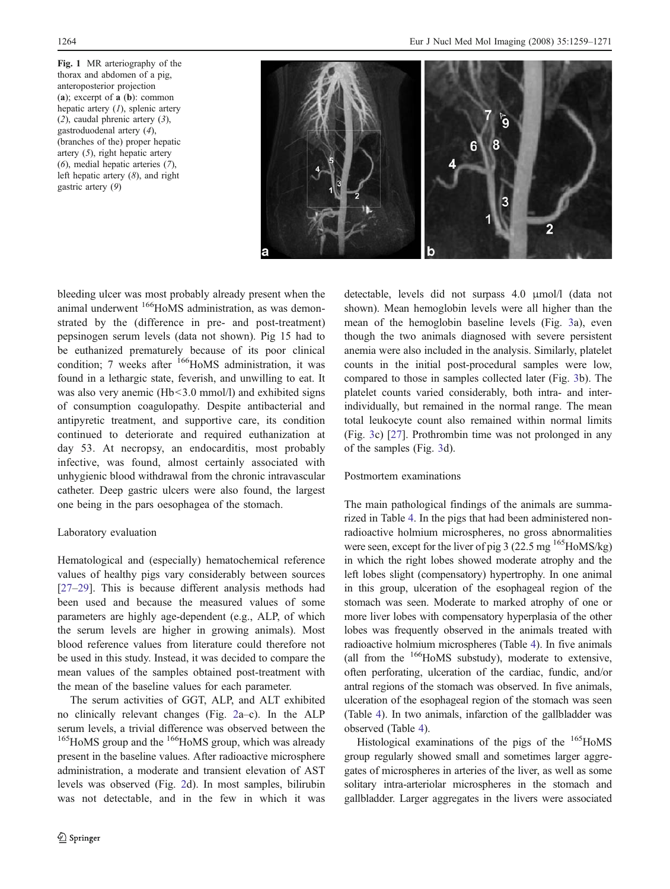<span id="page-5-0"></span>Fig. 1 MR arteriography of the thorax and abdomen of a pig, anteroposterior projection (a); excerpt of a (b): common hepatic artery  $(1)$ , splenic artery (2), caudal phrenic artery (3), gastroduodenal artery (4), (branches of the) proper hepatic artery (5), right hepatic artery (6), medial hepatic arteries (7), left hepatic artery (8), and right gastric artery (9)



bleeding ulcer was most probably already present when the animal underwent <sup>166</sup>HoMS administration, as was demonstrated by the (difference in pre- and post-treatment) pepsinogen serum levels (data not shown). Pig 15 had to be euthanized prematurely because of its poor clinical condition; 7 weeks after  $166$ HoMS administration, it was found in a lethargic state, feverish, and unwilling to eat. It was also very anemic (Hb<3.0 mmol/l) and exhibited signs of consumption coagulopathy. Despite antibacterial and antipyretic treatment, and supportive care, its condition continued to deteriorate and required euthanization at day 53. At necropsy, an endocarditis, most probably infective, was found, almost certainly associated with unhygienic blood withdrawal from the chronic intravascular catheter. Deep gastric ulcers were also found, the largest one being in the pars oesophagea of the stomach.

#### Laboratory evaluation

Hematological and (especially) hematochemical reference values of healthy pigs vary considerably between sources [\[27](#page-12-0)–[29](#page-12-0)]. This is because different analysis methods had been used and because the measured values of some parameters are highly age-dependent (e.g., ALP, of which the serum levels are higher in growing animals). Most blood reference values from literature could therefore not be used in this study. Instead, it was decided to compare the mean values of the samples obtained post-treatment with the mean of the baseline values for each parameter.

The serum activities of GGT, ALP, and ALT exhibited no clinically relevant changes (Fig. [2](#page-6-0)a–c). In the ALP serum levels, a trivial difference was observed between the <sup>165</sup>HoMS group and the <sup>166</sup>HoMS group, which was already present in the baseline values. After radioactive microsphere administration, a moderate and transient elevation of AST levels was observed (Fig. [2d](#page-6-0)). In most samples, bilirubin was not detectable, and in the few in which it was detectable, levels did not surpass 4.0 μmol/l (data not shown). Mean hemoglobin levels were all higher than the mean of the hemoglobin baseline levels (Fig. [3](#page-7-0)a), even though the two animals diagnosed with severe persistent anemia were also included in the analysis. Similarly, platelet counts in the initial post-procedural samples were low, compared to those in samples collected later (Fig. [3b](#page-7-0)). The platelet counts varied considerably, both intra- and interindividually, but remained in the normal range. The mean total leukocyte count also remained within normal limits (Fig. [3](#page-7-0)c) [[27](#page-12-0)]. Prothrombin time was not prolonged in any of the samples (Fig. [3](#page-7-0)d).

## Postmortem examinations

The main pathological findings of the animals are summarized in Table [4.](#page-8-0) In the pigs that had been administered nonradioactive holmium microspheres, no gross abnormalities were seen, except for the liver of pig 3 (22.5 mg  $^{165}$ HoMS/kg) in which the right lobes showed moderate atrophy and the left lobes slight (compensatory) hypertrophy. In one animal in this group, ulceration of the esophageal region of the stomach was seen. Moderate to marked atrophy of one or more liver lobes with compensatory hyperplasia of the other lobes was frequently observed in the animals treated with radioactive holmium microspheres (Table [4\)](#page-8-0). In five animals (all from the  $166$ HoMS substudy), moderate to extensive, often perforating, ulceration of the cardiac, fundic, and/or antral regions of the stomach was observed. In five animals, ulceration of the esophageal region of the stomach was seen (Table [4](#page-8-0)). In two animals, infarction of the gallbladder was observed (Table [4](#page-8-0)).

Histological examinations of the pigs of the  $165$ HoMS group regularly showed small and sometimes larger aggregates of microspheres in arteries of the liver, as well as some solitary intra-arteriolar microspheres in the stomach and gallbladder. Larger aggregates in the livers were associated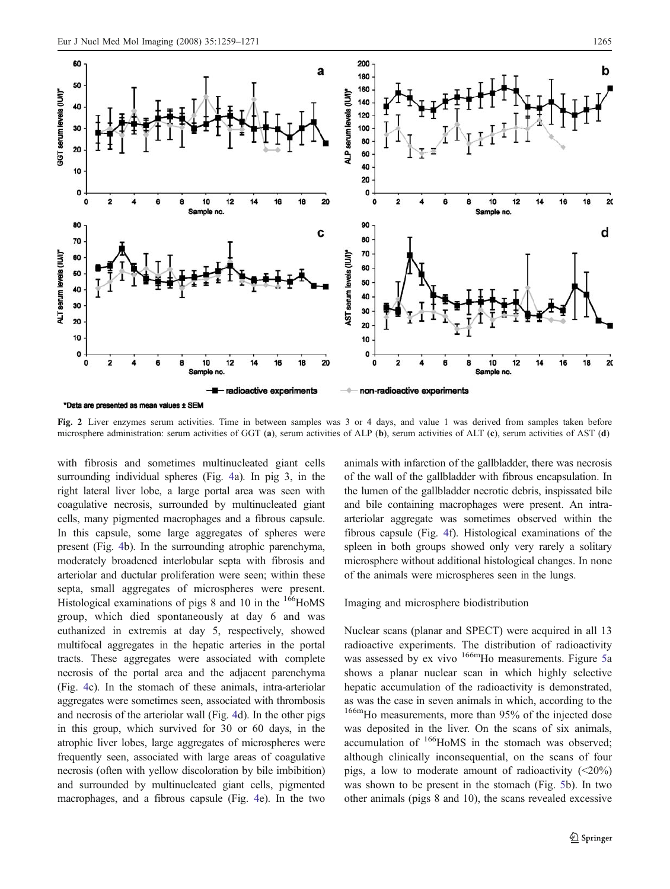<span id="page-6-0"></span>

Fig. 2 Liver enzymes serum activities. Time in between samples was 3 or 4 days, and value 1 was derived from samples taken before microsphere administration: serum activities of GGT (a), serum activities of ALP (b), serum activities of ALT (c), serum activities of AST (d)

with fibrosis and sometimes multinucleated giant cells surrounding individual spheres (Fig. [4](#page-8-0)a). In pig 3, in the right lateral liver lobe, a large portal area was seen with coagulative necrosis, surrounded by multinucleated giant cells, many pigmented macrophages and a fibrous capsule. In this capsule, some large aggregates of spheres were present (Fig. [4](#page-8-0)b). In the surrounding atrophic parenchyma, moderately broadened interlobular septa with fibrosis and arteriolar and ductular proliferation were seen; within these septa, small aggregates of microspheres were present. Histological examinations of pigs 8 and 10 in the  $166$ HoMS group, which died spontaneously at day 6 and was euthanized in extremis at day 5, respectively, showed multifocal aggregates in the hepatic arteries in the portal tracts. These aggregates were associated with complete necrosis of the portal area and the adjacent parenchyma (Fig. [4c](#page-8-0)). In the stomach of these animals, intra-arteriolar aggregates were sometimes seen, associated with thrombosis and necrosis of the arteriolar wall (Fig. [4](#page-8-0)d). In the other pigs in this group, which survived for 30 or 60 days, in the atrophic liver lobes, large aggregates of microspheres were frequently seen, associated with large areas of coagulative necrosis (often with yellow discoloration by bile imbibition) and surrounded by multinucleated giant cells, pigmented macrophages, and a fibrous capsule (Fig. [4e](#page-8-0)). In the two animals with infarction of the gallbladder, there was necrosis of the wall of the gallbladder with fibrous encapsulation. In the lumen of the gallbladder necrotic debris, inspissated bile and bile containing macrophages were present. An intraarteriolar aggregate was sometimes observed within the fibrous capsule (Fig. [4](#page-8-0)f). Histological examinations of the spleen in both groups showed only very rarely a solitary microsphere without additional histological changes. In none of the animals were microspheres seen in the lungs.

Imaging and microsphere biodistribution

Nuclear scans (planar and SPECT) were acquired in all 13 radioactive experiments. The distribution of radioactivity was assessed by ex vivo <sup>166m</sup>Ho measurements. Figure [5a](#page-9-0) shows a planar nuclear scan in which highly selective hepatic accumulation of the radioactivity is demonstrated, as was the case in seven animals in which, according to the <sup>166m</sup>Ho measurements, more than 95% of the injected dose was deposited in the liver. On the scans of six animals, accumulation of <sup>166</sup>HoMS in the stomach was observed; although clinically inconsequential, on the scans of four pigs, a low to moderate amount of radioactivity  $\langle 20\% \rangle$ was shown to be present in the stomach (Fig. [5](#page-9-0)b). In two other animals (pigs 8 and 10), the scans revealed excessive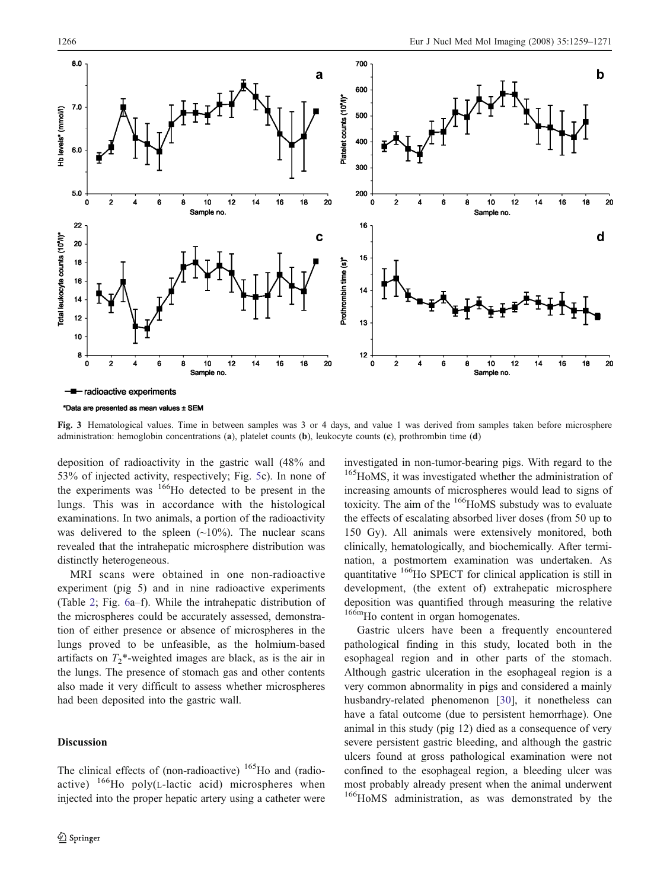<span id="page-7-0"></span>

\*Data are presented as mean values ± SEM

Fig. 3 Hematological values. Time in between samples was 3 or 4 days, and value 1 was derived from samples taken before microsphere administration: hemoglobin concentrations (a), platelet counts (b), leukocyte counts (c), prothrombin time (d)

deposition of radioactivity in the gastric wall (48% and 53% of injected activity, respectively; Fig. [5c](#page-9-0)). In none of the experiments was  $166$ Ho detected to be present in the lungs. This was in accordance with the histological examinations. In two animals, a portion of the radioactivity was delivered to the spleen  $(\sim 10\%)$ . The nuclear scans revealed that the intrahepatic microsphere distribution was distinctly heterogeneous.

MRI scans were obtained in one non-radioactive experiment (pig 5) and in nine radioactive experiments (Table [2;](#page-4-0) Fig. [6a](#page-9-0)–f). While the intrahepatic distribution of the microspheres could be accurately assessed, demonstration of either presence or absence of microspheres in the lungs proved to be unfeasible, as the holmium-based artifacts on  $T_2^*$ -weighted images are black, as is the air in the lungs. The presence of stomach gas and other contents also made it very difficult to assess whether microspheres had been deposited into the gastric wall.

## Discussion

The clinical effects of (non-radioactive)  $165$  Ho and (radioactive)  $^{166}$ Ho poly(L-lactic acid) microspheres when injected into the proper hepatic artery using a catheter were investigated in non-tumor-bearing pigs. With regard to the <sup>165</sup>HoMS, it was investigated whether the administration of increasing amounts of microspheres would lead to signs of toxicity. The aim of the  $166$ HoMS substudy was to evaluate the effects of escalating absorbed liver doses (from 50 up to 150 Gy). All animals were extensively monitored, both clinically, hematologically, and biochemically. After termination, a postmortem examination was undertaken. As quantitative 166Ho SPECT for clinical application is still in development, (the extent of) extrahepatic microsphere deposition was quantified through measuring the relative 166m<sub>Ho</sub> content in organ homogenates.

Gastric ulcers have been a frequently encountered pathological finding in this study, located both in the esophageal region and in other parts of the stomach. Although gastric ulceration in the esophageal region is a very common abnormality in pigs and considered a mainly husbandry-related phenomenon [[30\]](#page-12-0), it nonetheless can have a fatal outcome (due to persistent hemorrhage). One animal in this study (pig 12) died as a consequence of very severe persistent gastric bleeding, and although the gastric ulcers found at gross pathological examination were not confined to the esophageal region, a bleeding ulcer was most probably already present when the animal underwent <sup>166</sup>HoMS administration, as was demonstrated by the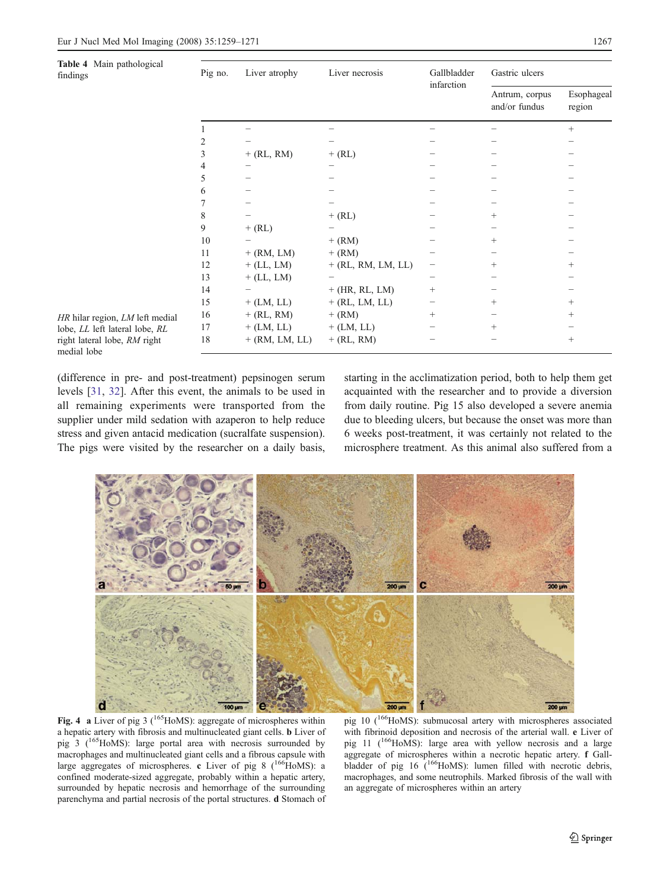<span id="page-8-0"></span>

| Table 4 Main pathological<br>findings       | Pig no. | Liver atrophy    | Liver necrosis       | Gallbladder<br>infarction | Gastric ulcers                  |                      |  |
|---------------------------------------------|---------|------------------|----------------------|---------------------------|---------------------------------|----------------------|--|
|                                             |         |                  |                      |                           | Antrum, corpus<br>and/or fundus | Esophageal<br>region |  |
|                                             |         |                  |                      |                           |                                 | $^{+}$               |  |
|                                             |         |                  |                      |                           |                                 |                      |  |
|                                             | 3       | $+$ (RL, RM)     | $+$ (RL)             |                           |                                 |                      |  |
|                                             | 4       |                  |                      |                           |                                 |                      |  |
|                                             | 5       |                  |                      |                           |                                 |                      |  |
|                                             | 6       |                  |                      |                           |                                 |                      |  |
|                                             |         |                  |                      |                           |                                 |                      |  |
|                                             | 8       |                  | $+$ (RL)             |                           | $^{+}$                          |                      |  |
|                                             | 9       | $+$ (RL)         |                      |                           |                                 |                      |  |
|                                             | 10      |                  | $+$ (RM)             |                           | $^{+}$                          |                      |  |
|                                             | 11      | $+$ (RM, LM)     | $+$ (RM)             |                           |                                 |                      |  |
|                                             | 12      | $+$ (LL, LM)     | $+$ (RL, RM, LM, LL) | $\qquad \qquad -$         | $^{+}$                          | $^{+}$               |  |
|                                             | 13      | $+$ (LL, LM)     |                      |                           |                                 |                      |  |
|                                             | 14      |                  | $+$ (HR, RL, LM)     | $^{+}$                    |                                 |                      |  |
|                                             | 15      | $+$ (LM, LL)     | $+$ (RL, LM, LL)     | -                         | $^{+}$                          | $^{+}$               |  |
| HR hilar region, LM left medial             | 16      | $+$ (RL, RM)     | $+$ (RM)             | $^{+}$                    | -                               | $^{+}$               |  |
| lobe, LL left lateral lobe, RL              | 17      | $+$ (LM, LL)     | $+$ (LM, LL)         |                           | $^{+}$                          |                      |  |
| right lateral lobe, RM right<br>medial lobe | 18      | $+$ (RM, LM, LL) | $+$ (RL, RM)         |                           |                                 | $+$                  |  |

(difference in pre- and post-treatment) pepsinogen serum levels [[31,](#page-12-0) [32\]](#page-12-0). After this event, the animals to be used in all remaining experiments were transported from the supplier under mild sedation with azaperon to help reduce stress and given antacid medication (sucralfate suspension). medial lobe

The pigs were visited by the researcher on a daily basis,

starting in the acclimatization period, both to help them get acquainted with the researcher and to provide a diversion from daily routine. Pig 15 also developed a severe anemia due to bleeding ulcers, but because the onset was more than 6 weeks post-treatment, it was certainly not related to the microsphere treatment. As this animal also suffered from a



Fig. 4 a Liver of pig 3 ( $165$ HoMS): aggregate of microspheres within a hepatic artery with fibrosis and multinucleated giant cells. b Liver of pig 3 ( $^{165}$ HoMS): large portal area with necrosis surrounded by macrophages and multinucleated giant cells and a fibrous capsule with large aggregates of microspheres. c Liver of pig 8 ( $166$ HoMS): a confined moderate-sized aggregate, probably within a hepatic artery, surrounded by hepatic necrosis and hemorrhage of the surrounding parenchyma and partial necrosis of the portal structures. d Stomach of

pig 10 (<sup>166</sup>HoMS): submucosal artery with microspheres associated with fibrinoid deposition and necrosis of the arterial wall. e Liver of pig 11  $(166)$ HoMS): large area with yellow necrosis and a large aggregate of microspheres within a necrotic hepatic artery. f Gallbladder of pig 16 (<sup>166</sup>HoMS): lumen filled with necrotic debris, macrophages, and some neutrophils. Marked fibrosis of the wall with an aggregate of microspheres within an artery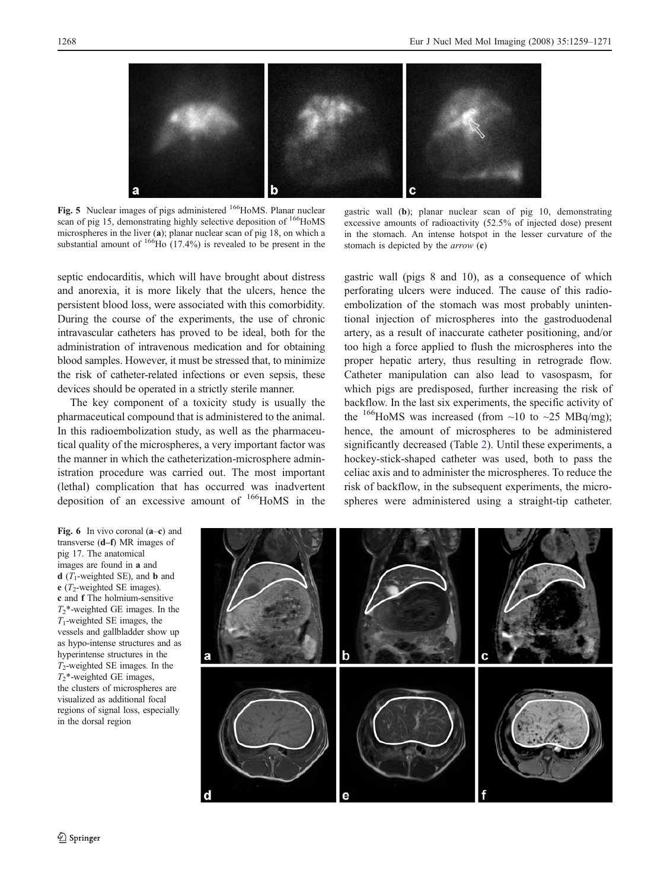<span id="page-9-0"></span>

Fig. 5 Nuclear images of pigs administered <sup>166</sup>HoMS. Planar nuclear scan of pig 15, demonstrating highly selective deposition of <sup>166</sup>HoMS microspheres in the liver (a); planar nuclear scan of pig 18, on which a substantial amount of  $166$ Ho (17.4%) is revealed to be present in the

gastric wall (b); planar nuclear scan of pig 10, demonstrating excessive amounts of radioactivity (52.5% of injected dose) present in the stomach. An intense hotspot in the lesser curvature of the stomach is depicted by the arrow (c)

septic endocarditis, which will have brought about distress and anorexia, it is more likely that the ulcers, hence the persistent blood loss, were associated with this comorbidity. During the course of the experiments, the use of chronic intravascular catheters has proved to be ideal, both for the administration of intravenous medication and for obtaining blood samples. However, it must be stressed that, to minimize the risk of catheter-related infections or even sepsis, these devices should be operated in a strictly sterile manner.

The key component of a toxicity study is usually the pharmaceutical compound that is administered to the animal. In this radioembolization study, as well as the pharmaceutical quality of the microspheres, a very important factor was the manner in which the catheterization-microsphere administration procedure was carried out. The most important (lethal) complication that has occurred was inadvertent deposition of an excessive amount of  $166$ HoMS in the

gastric wall (pigs 8 and 10), as a consequence of which perforating ulcers were induced. The cause of this radioembolization of the stomach was most probably unintentional injection of microspheres into the gastroduodenal artery, as a result of inaccurate catheter positioning, and/or too high a force applied to flush the microspheres into the proper hepatic artery, thus resulting in retrograde flow. Catheter manipulation can also lead to vasospasm, for which pigs are predisposed, further increasing the risk of backflow. In the last six experiments, the specific activity of the <sup>166</sup>HoMS was increased (from  $\sim$ 10 to  $\sim$ 25 MBq/mg); hence, the amount of microspheres to be administered significantly decreased (Table [2](#page-4-0)). Until these experiments, a hockey-stick-shaped catheter was used, both to pass the celiac axis and to administer the microspheres. To reduce the risk of backflow, in the subsequent experiments, the microspheres were administered using a straight-tip catheter.

Fig. 6 In vivo coronal  $(a-c)$  and transverse (d*–*f) MR images of pig 17. The anatomical images are found in a and **d** ( $T_1$ -weighted SE), and **b** and e ( $T_2$ -weighted SE images). c and f The holmium-sensitive  $T_2^*$ -weighted GE images. In the  $T_1$ -weighted SE images, the vessels and gallbladder show up as hypo-intense structures and as hyperintense structures in the  $T_2$ -weighted SE images. In the  $T_2^*$ -weighted GE images, the clusters of microspheres are visualized as additional focal regions of signal loss, especially in the dorsal region

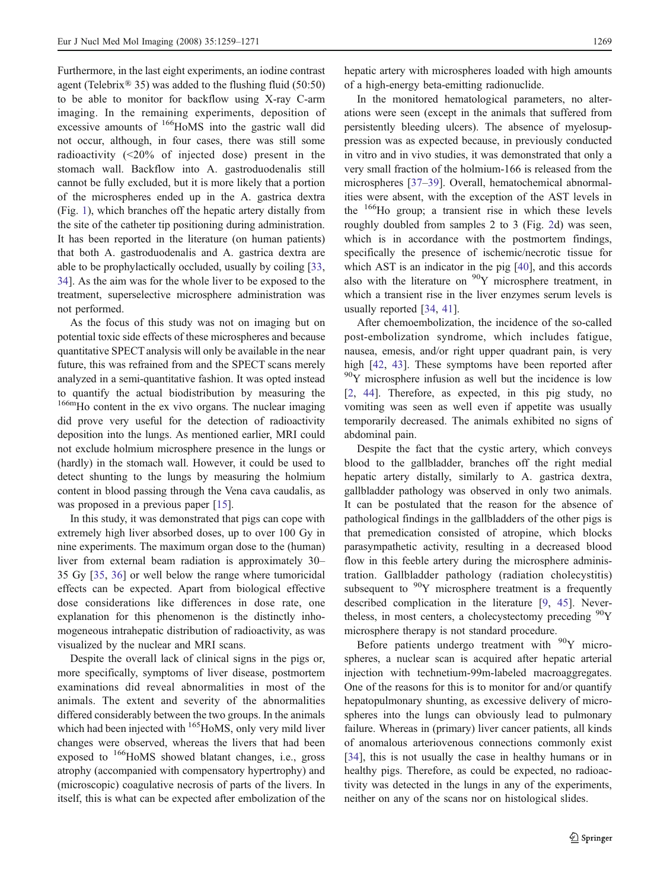Furthermore, in the last eight experiments, an iodine contrast agent (Telebrix® 35) was added to the flushing fluid (50:50) to be able to monitor for backflow using X-ray C-arm imaging. In the remaining experiments, deposition of excessive amounts of <sup>166</sup>HoMS into the gastric wall did not occur, although, in four cases, there was still some radioactivity (<20% of injected dose) present in the stomach wall. Backflow into A. gastroduodenalis still cannot be fully excluded, but it is more likely that a portion of the microspheres ended up in the A. gastrica dextra (Fig. [1\)](#page-5-0), which branches off the hepatic artery distally from the site of the catheter tip positioning during administration. It has been reported in the literature (on human patients) that both A. gastroduodenalis and A. gastrica dextra are able to be prophylactically occluded, usually by coiling [[33,](#page-12-0) [34](#page-12-0)]. As the aim was for the whole liver to be exposed to the treatment, superselective microsphere administration was not performed.

As the focus of this study was not on imaging but on potential toxic side effects of these microspheres and because quantitative SPECT analysis will only be available in the near future, this was refrained from and the SPECT scans merely analyzed in a semi-quantitative fashion. It was opted instead to quantify the actual biodistribution by measuring the 166m<sub>Ho</sub> content in the ex vivo organs. The nuclear imaging did prove very useful for the detection of radioactivity deposition into the lungs. As mentioned earlier, MRI could not exclude holmium microsphere presence in the lungs or (hardly) in the stomach wall. However, it could be used to detect shunting to the lungs by measuring the holmium content in blood passing through the Vena cava caudalis, as was proposed in a previous paper [\[15](#page-11-0)].

In this study, it was demonstrated that pigs can cope with extremely high liver absorbed doses, up to over 100 Gy in nine experiments. The maximum organ dose to the (human) liver from external beam radiation is approximately 30– 35 Gy [\[35](#page-12-0), [36](#page-12-0)] or well below the range where tumoricidal effects can be expected. Apart from biological effective dose considerations like differences in dose rate, one explanation for this phenomenon is the distinctly inhomogeneous intrahepatic distribution of radioactivity, as was visualized by the nuclear and MRI scans.

Despite the overall lack of clinical signs in the pigs or, more specifically, symptoms of liver disease, postmortem examinations did reveal abnormalities in most of the animals. The extent and severity of the abnormalities differed considerably between the two groups. In the animals which had been injected with <sup>165</sup>HoMS, only very mild liver changes were observed, whereas the livers that had been exposed to <sup>166</sup>HoMS showed blatant changes, i.e., gross atrophy (accompanied with compensatory hypertrophy) and (microscopic) coagulative necrosis of parts of the livers. In itself, this is what can be expected after embolization of the

hepatic artery with microspheres loaded with high amounts of a high-energy beta-emitting radionuclide.

In the monitored hematological parameters, no alterations were seen (except in the animals that suffered from persistently bleeding ulcers). The absence of myelosuppression was as expected because, in previously conducted in vitro and in vivo studies, it was demonstrated that only a very small fraction of the holmium-166 is released from the microspheres [[37](#page-12-0)–[39\]](#page-12-0). Overall, hematochemical abnormalities were absent, with the exception of the AST levels in the  $166$ Ho group; a transient rise in which these levels roughly doubled from samples 2 to 3 (Fig. [2d](#page-6-0)) was seen, which is in accordance with the postmortem findings, specifically the presence of ischemic/necrotic tissue for which AST is an indicator in the pig [\[40](#page-12-0)], and this accords also with the literature on  $90Y$  microsphere treatment, in which a transient rise in the liver enzymes serum levels is usually reported [\[34](#page-12-0), [41](#page-12-0)].

After chemoembolization, the incidence of the so-called post-embolization syndrome, which includes fatigue, nausea, emesis, and/or right upper quadrant pain, is very high [[42,](#page-12-0) [43\]](#page-12-0). These symptoms have been reported after  $90Y$  microsphere infusion as well but the incidence is low [\[2](#page-11-0), [44](#page-12-0)]. Therefore, as expected, in this pig study, no vomiting was seen as well even if appetite was usually temporarily decreased. The animals exhibited no signs of abdominal pain.

Despite the fact that the cystic artery, which conveys blood to the gallbladder, branches off the right medial hepatic artery distally, similarly to A. gastrica dextra, gallbladder pathology was observed in only two animals. It can be postulated that the reason for the absence of pathological findings in the gallbladders of the other pigs is that premedication consisted of atropine, which blocks parasympathetic activity, resulting in a decreased blood flow in this feeble artery during the microsphere administration. Gallbladder pathology (radiation cholecystitis) subsequent to  $90Y$  microsphere treatment is a frequently described complication in the literature [\[9](#page-11-0), [45\]](#page-12-0). Nevertheless, in most centers, a cholecystectomy preceding  $\rm{^{90}Y}$ microsphere therapy is not standard procedure.

Before patients undergo treatment with <sup>90</sup>Y microspheres, a nuclear scan is acquired after hepatic arterial injection with technetium-99m-labeled macroaggregates. One of the reasons for this is to monitor for and/or quantify hepatopulmonary shunting, as excessive delivery of microspheres into the lungs can obviously lead to pulmonary failure. Whereas in (primary) liver cancer patients, all kinds of anomalous arteriovenous connections commonly exist [\[34](#page-12-0)], this is not usually the case in healthy humans or in healthy pigs. Therefore, as could be expected, no radioactivity was detected in the lungs in any of the experiments, neither on any of the scans nor on histological slides.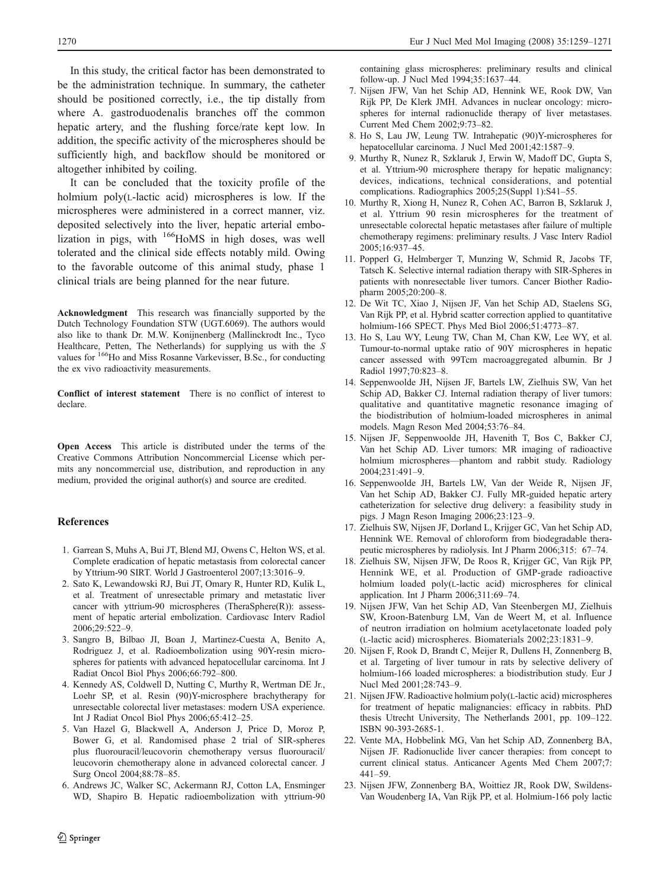<span id="page-11-0"></span>In this study, the critical factor has been demonstrated to be the administration technique. In summary, the catheter should be positioned correctly, i.e., the tip distally from where A. gastroduodenalis branches off the common hepatic artery, and the flushing force/rate kept low. In addition, the specific activity of the microspheres should be sufficiently high, and backflow should be monitored or altogether inhibited by coiling.

It can be concluded that the toxicity profile of the holmium poly(L-lactic acid) microspheres is low. If the microspheres were administered in a correct manner, viz. deposited selectively into the liver, hepatic arterial embolization in pigs, with <sup>166</sup>HoMS in high doses, was well tolerated and the clinical side effects notably mild. Owing to the favorable outcome of this animal study, phase 1 clinical trials are being planned for the near future.

Acknowledgment This research was financially supported by the Dutch Technology Foundation STW (UGT.6069). The authors would also like to thank Dr. M.W. Konijnenberg (Mallinckrodt Inc., Tyco Healthcare, Petten, The Netherlands) for supplying us with the S values for <sup>166</sup>Ho and Miss Rosanne Varkevisser, B.Sc., for conducting the ex vivo radioactivity measurements.

Conflict of interest statement There is no conflict of interest to declare.

Open Access This article is distributed under the terms of the Creative Commons Attribution Noncommercial License which permits any noncommercial use, distribution, and reproduction in any medium, provided the original author(s) and source are credited.

### **References**

- 1. Garrean S, Muhs A, Bui JT, Blend MJ, Owens C, Helton WS, et al. Complete eradication of hepatic metastasis from colorectal cancer by Yttrium-90 SIRT. World J Gastroenterol 2007;13:3016–9.
- 2. Sato K, Lewandowski RJ, Bui JT, Omary R, Hunter RD, Kulik L, et al. Treatment of unresectable primary and metastatic liver cancer with yttrium-90 microspheres (TheraSphere(R)): assessment of hepatic arterial embolization. Cardiovasc Interv Radiol 2006;29:522–9.
- 3. Sangro B, Bilbao JI, Boan J, Martinez-Cuesta A, Benito A, Rodriguez J, et al. Radioembolization using 90Y-resin microspheres for patients with advanced hepatocellular carcinoma. Int J Radiat Oncol Biol Phys 2006;66:792–800.
- 4. Kennedy AS, Coldwell D, Nutting C, Murthy R, Wertman DE Jr., Loehr SP, et al. Resin (90)Y-microsphere brachytherapy for unresectable colorectal liver metastases: modern USA experience. Int J Radiat Oncol Biol Phys 2006;65:412–25.
- 5. Van Hazel G, Blackwell A, Anderson J, Price D, Moroz P, Bower G, et al. Randomised phase 2 trial of SIR-spheres plus fluorouracil/leucovorin chemotherapy versus fluorouracil/ leucovorin chemotherapy alone in advanced colorectal cancer. J Surg Oncol 2004;88:78–85.
- 6. Andrews JC, Walker SC, Ackermann RJ, Cotton LA, Ensminger WD, Shapiro B. Hepatic radioembolization with yttrium-90

containing glass microspheres: preliminary results and clinical follow-up. J Nucl Med 1994;35:1637–44.

- 7. Nijsen JFW, Van het Schip AD, Hennink WE, Rook DW, Van Rijk PP, De Klerk JMH. Advances in nuclear oncology: microspheres for internal radionuclide therapy of liver metastases. Current Med Chem 2002;9:73–82.
- 8. Ho S, Lau JW, Leung TW. Intrahepatic (90)Y-microspheres for hepatocellular carcinoma. J Nucl Med 2001;42:1587–9.
- 9. Murthy R, Nunez R, Szklaruk J, Erwin W, Madoff DC, Gupta S, et al. Yttrium-90 microsphere therapy for hepatic malignancy: devices, indications, technical considerations, and potential complications. Radiographics 2005;25(Suppl 1):S41–55.
- 10. Murthy R, Xiong H, Nunez R, Cohen AC, Barron B, Szklaruk J, et al. Yttrium 90 resin microspheres for the treatment of unresectable colorectal hepatic metastases after failure of multiple chemotherapy regimens: preliminary results. J Vasc Interv Radiol 2005;16:937–45.
- 11. Popperl G, Helmberger T, Munzing W, Schmid R, Jacobs TF, Tatsch K. Selective internal radiation therapy with SIR-Spheres in patients with nonresectable liver tumors. Cancer Biother Radiopharm 2005;20:200–8.
- 12. De Wit TC, Xiao J, Nijsen JF, Van het Schip AD, Staelens SG, Van Rijk PP, et al. Hybrid scatter correction applied to quantitative holmium-166 SPECT. Phys Med Biol 2006;51:4773–87.
- 13. Ho S, Lau WY, Leung TW, Chan M, Chan KW, Lee WY, et al. Tumour-to-normal uptake ratio of 90Y microspheres in hepatic cancer assessed with 99Tcm macroaggregated albumin. Br J Radiol 1997;70:823–8.
- 14. Seppenwoolde JH, Nijsen JF, Bartels LW, Zielhuis SW, Van het Schip AD, Bakker CJ. Internal radiation therapy of liver tumors: qualitative and quantitative magnetic resonance imaging of the biodistribution of holmium-loaded microspheres in animal models. Magn Reson Med 2004;53:76–84.
- 15. Nijsen JF, Seppenwoolde JH, Havenith T, Bos C, Bakker CJ, Van het Schip AD. Liver tumors: MR imaging of radioactive holmium microspheres—phantom and rabbit study. Radiology 2004;231:491–9.
- 16. Seppenwoolde JH, Bartels LW, Van der Weide R, Nijsen JF, Van het Schip AD, Bakker CJ. Fully MR-guided hepatic artery catheterization for selective drug delivery: a feasibility study in pigs. J Magn Reson Imaging 2006;23:123–9.
- 17. Zielhuis SW, Nijsen JF, Dorland L, Krijger GC, Van het Schip AD, Hennink WE. Removal of chloroform from biodegradable therapeutic microspheres by radiolysis. Int J Pharm 2006;315: 67–74.
- 18. Zielhuis SW, Nijsen JFW, De Roos R, Krijger GC, Van Rijk PP, Hennink WE, et al. Production of GMP-grade radioactive holmium loaded poly(L-lactic acid) microspheres for clinical application. Int J Pharm 2006;311:69–74.
- 19. Nijsen JFW, Van het Schip AD, Van Steenbergen MJ, Zielhuis SW, Kroon-Batenburg LM, Van de Weert M, et al. Influence of neutron irradiation on holmium acetylacetonate loaded poly (L-lactic acid) microspheres. Biomaterials 2002;23:1831–9.
- 20. Nijsen F, Rook D, Brandt C, Meijer R, Dullens H, Zonnenberg B, et al. Targeting of liver tumour in rats by selective delivery of holmium-166 loaded microspheres: a biodistribution study. Eur J Nucl Med 2001;28:743–9.
- 21. Nijsen JFW. Radioactive holmium poly(L-lactic acid) microspheres for treatment of hepatic malignancies: efficacy in rabbits. PhD thesis Utrecht University, The Netherlands 2001, pp. 109–122. ISBN 90-393-2685-1.
- 22. Vente MA, Hobbelink MG, Van het Schip AD, Zonnenberg BA, Nijsen JF. Radionuclide liver cancer therapies: from concept to current clinical status. Anticancer Agents Med Chem 2007;7: 441–59.
- 23. Nijsen JFW, Zonnenberg BA, Woittiez JR, Rook DW, Swildens-Van Woudenberg IA, Van Rijk PP, et al. Holmium-166 poly lactic